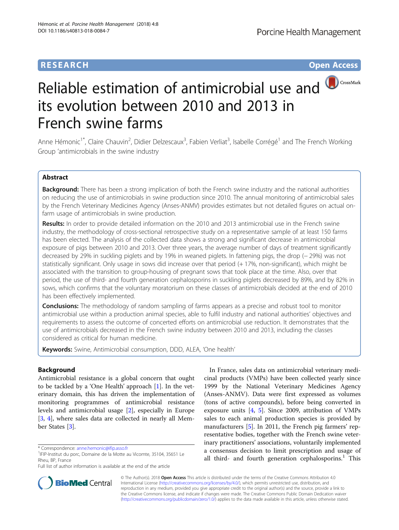# **RESEARCH RESEARCH** *CHECKER CHECKER CHECKER CHECKER CHECKER CHECKER CHECKER CHECKER CHECKER CHECKER CHECKER*

# Reliable estimation of antimicrobial use and CrossMark its evolution between 2010 and 2013 in French swine farms

Anne Hémonic<sup>1\*</sup>, Claire Chauvin<sup>2</sup>, Didier Delzescaux<sup>3</sup>, Fabien Verliat<sup>3</sup>, Isabelle Corrégé<sup>1</sup> and The French Working Group 'antimicrobials in the swine industry

# Abstract

Background: There has been a strong implication of both the French swine industry and the national authorities on reducing the use of antimicrobials in swine production since 2010. The annual monitoring of antimicrobial sales by the French Veterinary Medicines Agency (Anses-ANMV) provides estimates but not detailed figures on actual onfarm usage of antimicrobials in swine production.

Results: In order to provide detailed information on the 2010 and 2013 antimicrobial use in the French swine industry, the methodology of cross-sectional retrospective study on a representative sample of at least 150 farms has been elected. The analysis of the collected data shows a strong and significant decrease in antimicrobial exposure of pigs between 2010 and 2013. Over three years, the average number of days of treatment significantly decreased by 29% in suckling piglets and by 19% in weaned piglets. In fattening pigs, the drop (− 29%) was not statistically significant. Only usage in sows did increase over that period (+ 17%, non-significant), which might be associated with the transition to group-housing of pregnant sows that took place at the time. Also, over that period, the use of third- and fourth generation cephalosporins in suckling piglets decreased by 89%, and by 82% in sows, which confirms that the voluntary moratorium on these classes of antimicrobials decided at the end of 2010 has been effectively implemented.

**Conclusions:** The methodology of random sampling of farms appears as a precise and robust tool to monitor antimicrobial use within a production animal species, able to fulfil industry and national authorities' objectives and requirements to assess the outcome of concerted efforts on antimicrobial use reduction. It demonstrates that the use of antimicrobials decreased in the French swine industry between 2010 and 2013, including the classes considered as critical for human medicine.

Keywords: Swine, Antimicrobial consumption, DDD, ALEA, 'One health'

# Background

Antimicrobial resistance is a global concern that ought to be tackled by a 'One Health' approach [\[1\]](#page-9-0). In the veterinary domain, this has driven the implementation of monitoring programmes of antimicrobial resistance levels and antimicrobial usage [\[2](#page-9-0)], especially in Europe [[3,](#page-9-0) [4](#page-9-0)], where sales data are collected in nearly all Member States [[3\]](#page-9-0).

In France, sales data on antimicrobial veterinary medicinal products (VMPs) have been collected yearly since 1999 by the National Veterinary Medicines Agency (Anses-ANMV). Data were first expressed as volumes (tons of active compounds), before being converted in exposure units [[4,](#page-9-0) [5](#page-9-0)]. Since 2009, attribution of VMPs sales to each animal production species is provided by manufacturers [\[5](#page-9-0)]. In 2011, the French pig farmers' representative bodies, together with the French swine veterinary practitioners' associations, voluntarily implemented a consensus decision to limit prescription and usage of all third- and fourth generation cephalosporins.<sup>1</sup> This



© The Author(s). 2018 Open Access This article is distributed under the terms of the Creative Commons Attribution 4.0 International License [\(http://creativecommons.org/licenses/by/4.0/](http://creativecommons.org/licenses/by/4.0/)), which permits unrestricted use, distribution, and reproduction in any medium, provided you give appropriate credit to the original author(s) and the source, provide a link to the Creative Commons license, and indicate if changes were made. The Creative Commons Public Domain Dedication waiver [\(http://creativecommons.org/publicdomain/zero/1.0/](http://creativecommons.org/publicdomain/zero/1.0/)) applies to the data made available in this article, unless otherwise stated.

<sup>\*</sup> Correspondence: [anne.hemonic@ifip.asso.fr](mailto:anne.hemonic@ifip.asso.fr) <sup>1</sup>

<sup>&</sup>lt;sup>1</sup>IFIP-Institut du porc, Domaine de la Motte au Vicomte, 35104, 35651 Le Rheu, BP, France

Full list of author information is available at the end of the article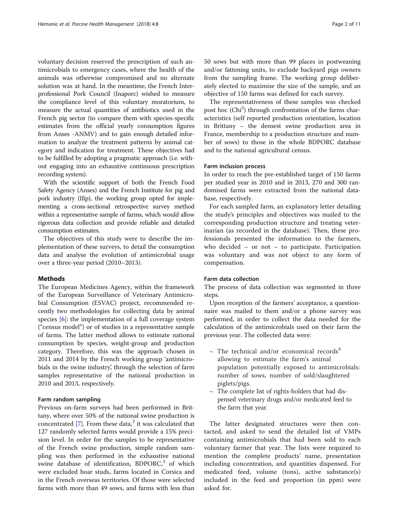voluntary decision reserved the prescription of such antimicrobials to emergency cases, where the health of the animals was otherwise compromised and no alternate solution was at hand. In the meantime, the French Interprofessional Pork Council (Inaporc) wished to measure the compliance level of this voluntary moratorium, to measure the actual quantities of antibiotics used in the French pig sector (to compare them with species-specific estimates from the official yearly consumption figures from Anses -ANMV) and to gain enough detailed information to analyze the treatment patterns by animal category and indication for treatment. These objectives had to be fulfilled by adopting a pragmatic approach (i.e. without engaging into an exhaustive continuous prescription recording system).

With the scientific support of both the French Food Safety Agency (Anses) and the French Institute for pig and pork industry (Ifip), the working group opted for implementing a cross-sectional retrospective survey method within a representative sample of farms, which would allow rigorous data collection and provide reliable and detailed consumption estimates.

The objectives of this study were to describe the implementation of these surveys, to detail the consumption data and analyse the evolution of antimicrobial usage over a three-year period (2010–2013).

#### Methods

The European Medicines Agency, within the framework of the European Surveillance of Veterinary Antimicrobial Consumption (ESVAC) project, recommended recently two methodologies for collecting data by animal species [[6\]](#page-9-0): the implementation of a full coverage system ("census model") or of studies in a representative sample of farms. The latter method allows to estimate national consumption by species, weight-group and production category. Therefore, this was the approach chosen in 2011 and 2014 by the French working group 'antimicrobials in the swine industry', through the selection of farm samples representative of the national production in 2010 and 2013, respectively.

#### Farm random sampling

Previous on-farm surveys had been performed in Brittany, where over 50% of the national swine production is concentrated  $[7]$  $[7]$ . From these data,<sup>2</sup> it was calculated that 127 randomly selected farms would provide a 15% precision level. In order for the samples to be representative of the French swine production, simple random sampling was then performed in the exhaustive national swine database of identification,  $BDPORC<sub>1</sub><sup>3</sup>$  of which were excluded boar studs, farms located in Corsica and in the French overseas territories. Of those were selected farms with more than 49 sows, and farms with less than 50 sows but with more than 99 places in postweaning and/or fattening units, to exclude backyard pigs owners from the sampling frame. The working group deliberately elected to maximise the size of the sample, and an objective of 150 farms was defined for each survey.

The representativeness of these samples was checked post hoc (Chi<sup>2</sup>) through confrontation of the farms characteristics (self reported production orientation, location in Brittany – the densest swine production area in France, membership to a production structure and number of sows) to those in the whole BDPORC database and to the national agricultural census.

## Farm inclusion process

In order to reach the pre-established target of 150 farms per studied year in 2010 and in 2013, 270 and 300 randomised farms were extracted from the national database, respectively.

For each sampled farm, an explanatory letter detailing the study's principles and objectives was mailed to the corresponding production structure and treating veterinarian (as recorded in the database). Then, these professionals presented the information to the farmers, who decided – or not – to participate. Participation was voluntary and was not object to any form of compensation.

#### Farm data collection

The process of data collection was segmented in three steps.

Upon reception of the farmers' acceptance, a questionnaire was mailed to them and/or a phone survey was performed, in order to collect the data needed for the calculation of the antimicrobials used on their farm the previous year. The collected data were:

- The technical and/or economical records<sup>4</sup> allowing to estimate the farm's animal population potentially exposed to antimicrobials: number of sows, number of sold/slaughtered piglets/pigs.
- The complete list of rights-holders that had dispensed veterinary drugs and/or medicated feed to the farm that year.

The latter designated structures were then contacted, and asked to send the detailed list of VMPs containing antimicrobials that had been sold to each voluntary farmer that year. The lists were required to mention the complete products' name, presentation including concentration, and quantities dispensed. For medicated feed, volume (tons), active substance(s) included in the feed and proportion (in ppm) were asked for.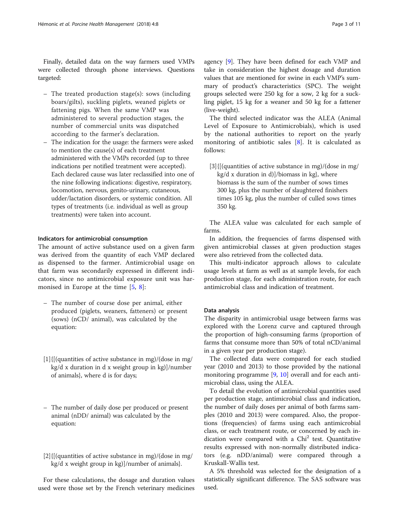- The treated production stage(s): sows (including boars/gilts), suckling piglets, weaned piglets or fattening pigs. When the same VMP was administered to several production stages, the number of commercial units was dispatched according to the farmer's declaration.
- The indication for the usage: the farmers were asked to mention the cause(s) of each treatment administered with the VMPs recorded (up to three indications per notified treatment were accepted). Each declared cause was later reclassified into one of the nine following indications: digestive, respiratory, locomotion, nervous, genito-urinary, cutaneous, udder/lactation disorders, or systemic condition. All types of treatments (i.e. individual as well as group treatments) were taken into account.

# Indicators for antimicrobial consumption

The amount of active substance used on a given farm was derived from the quantity of each VMP declared as dispensed to the farmer. Antimicrobial usage on that farm was secondarily expressed in different indicators, since no antimicrobial exposure unit was harmonised in Europe at the time [\[5](#page-9-0), [8](#page-9-0)]:

- The number of course dose per animal, either produced (piglets, weaners, fatteners) or present (sows) (nCD/ animal), was calculated by the equation:
- [1]{[(quantities of active substance in mg)/(dose in mg/ kg/d x duration in d x weight group in kg)]/number of animals}, where d is for days;
- The number of daily dose per produced or present animal (nDD/ animal) was calculated by the equation:
- [2]{[(quantities of active substance in mg)/(dose in mg/ kg/d x weight group in kg)]/number of animals}.

For these calculations, the dosage and duration values used were those set by the French veterinary medicines

agency [[9\]](#page-9-0). They have been defined for each VMP and take in consideration the highest dosage and duration values that are mentioned for swine in each VMP's summary of product's characteristics (SPC). The weight groups selected were 250 kg for a sow, 2 kg for a suckling piglet, 15 kg for a weaner and 50 kg for a fattener (live-weight).

The third selected indicator was the ALEA (Animal Level of Exposure to Antimicrobials), which is used by the national authorities to report on the yearly monitoring of antibiotic sales [\[8](#page-9-0)]. It is calculated as follows:

[3]{[(quantities of active substance in mg)/(dose in mg/  $kg/d$  x duration in d)]/biomass in kg}, where biomass is the sum of the number of sows times 300 kg, plus the number of slaughtered finishers times 105 kg, plus the number of culled sows times 350 kg.

The ALEA value was calculated for each sample of farms.

In addition, the frequencies of farms dispensed with given antimicrobial classes at given production stages were also retrieved from the collected data.

This multi-indicator approach allows to calculate usage levels at farm as well as at sample levels, for each production stage, for each administration route, for each antimicrobial class and indication of treatment.

### Data analysis

The disparity in antimicrobial usage between farms was explored with the Lorenz curve and captured through the proportion of high-consuming farms (proportion of farms that consume more than 50% of total nCD/animal in a given year per production stage).

The collected data were compared for each studied year (2010 and 2013) to those provided by the national monitoring programme [[9,](#page-9-0) [10\]](#page-9-0) overall and for each antimicrobial class, using the ALEA.

To detail the evolution of antimicrobial quantities used per production stage, antimicrobial class and indication, the number of daily doses per animal of both farms samples (2010 and 2013) were compared. Also, the proportions (frequencies) of farms using each antimicrobial class, or each treatment route, or concerned by each indication were compared with a  $Chi<sup>2</sup>$  test. Quantitative results expressed with non-normally distributed indicators (e.g. nDD/animal) were compared through a Kruskall-Wallis test.

A 5% threshold was selected for the designation of a statistically significant difference. The SAS software was used.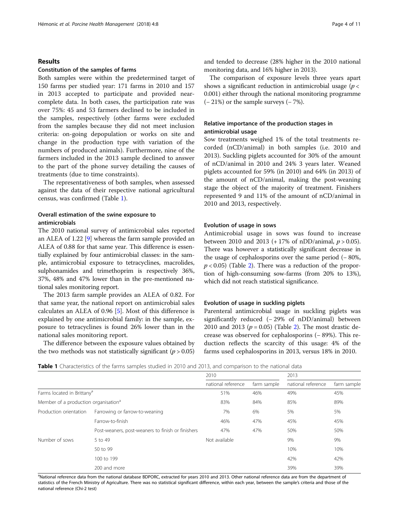## Results

# Constitution of the samples of farms

Both samples were within the predetermined target of 150 farms per studied year: 171 farms in 2010 and 157 in 2013 accepted to participate and provided nearcomplete data. In both cases, the participation rate was over 75%: 45 and 53 farmers declined to be included in the samples, respectively (other farms were excluded from the samples because they did not meet inclusion criteria: on-going depopulation or works on site and change in the production type with variation of the numbers of produced animals). Furthermore, nine of the farmers included in the 2013 sample declined to answer to the part of the phone survey detailing the causes of treatments (due to time constraints).

The representativeness of both samples, when assessed against the data of their respective national agricultural census, was confirmed (Table 1).

# Overall estimation of the swine exposure to antimicrobials

The 2010 national survey of antimicrobial sales reported an ALEA of 1.22 [[9](#page-9-0)] whereas the farm sample provided an ALEA of 0.88 for that same year. This difference is essentially explained by four antimicrobial classes: in the sample, antimicrobial exposure to tetracyclines, macrolides, sulphonamides and trimethoprim is respectively 36%, 37%, 48% and 47% lower than in the pre-mentioned national sales monitoring report.

The 2013 farm sample provides an ALEA of 0.82. For that same year, the national report on antimicrobial sales calculates an ALEA of 0.96 [\[5](#page-9-0)]. Most of this difference is explained by one antimicrobial family: in the sample, exposure to tetracyclines is found 26% lower than in the national sales monitoring report.

The difference between the exposure values obtained by the two methods was not statistically significant ( $p > 0.05$ ) and tended to decrease (28% higher in the 2010 national monitoring data, and 16% higher in 2013).

The comparison of exposure levels three years apart shows a significant reduction in antimicrobial usage ( $p <$ 0.001) either through the national monitoring programme (− 21%) or the sample surveys (− 7%).

# Relative importance of the production stages in antimicrobial usage

Sow treatments weighed 1% of the total treatments recorded (nCD/animal) in both samples (i.e. 2010 and 2013). Suckling piglets accounted for 30% of the amount of nCD/animal in 2010 and 24% 3 years later. Weaned piglets accounted for 59% (in 2010) and 64% (in 2013) of the amount of nCD/animal, making the post-weaning stage the object of the majority of treatment. Finishers represented 9 and 11% of the amount of nCD/animal in 2010 and 2013, respectively.

### Evolution of usage in sows

Antimicrobial usage in sows was found to increase between 2010 and 2013 (+17% of nDD/animal,  $p > 0.05$ ). There was however a statistically significant decrease in the usage of cephalosporins over the same period (− 80%,  $p < 0.05$ ) (Table [2](#page-5-0)). There was a reduction of the proportion of high-consuming sow-farms (from 20% to 13%), which did not reach statistical significance.

## Evolution of usage in suckling piglets

Parenteral antimicrobial usage in suckling piglets was significantly reduced (− 29% of nDD/animal) between [2](#page-5-0)010 and 2013 ( $p = 0.05$ ) (Table 2). The most drastic decrease was observed for cephalosporins (− 89%). This reduction reflects the scarcity of this usage: 4% of the farms used cephalosporins in 2013, versus 18% in 2010.

| <b>Table 1</b> Characteristics of the farms samples studied in 2010 and 2013, and comparison to the national data |  |  |  |
|-------------------------------------------------------------------------------------------------------------------|--|--|--|
|-------------------------------------------------------------------------------------------------------------------|--|--|--|

|                                                  |                                                   | 2010               |             | 2013               |             |
|--------------------------------------------------|---------------------------------------------------|--------------------|-------------|--------------------|-------------|
|                                                  |                                                   | national reference | farm sample | national reference | farm sample |
| Farms located in Brittany <sup>a</sup>           |                                                   | 51%                | 46%         | 49%                | 45%         |
| Member of a production organisation <sup>a</sup> |                                                   | 83%                | 84%         | 85%                | 89%         |
| Production orientation                           | Farrowing or farrow-to-weaning                    | 7%                 | 6%          | 5%                 | 5%          |
|                                                  | Farrow-to-finish                                  | 46%                | 47%         | 45%                | 45%         |
|                                                  | Post-weaners, post-weaners to finish or finishers | 47%                | 47%         | 50%                | 50%         |
| Number of sows                                   | 5 to 49                                           | Not available      |             | 9%                 | 9%          |
|                                                  | 50 to 99                                          |                    |             | 10%                | 10%         |
|                                                  | 100 to 199                                        |                    |             | 42%                | 42%         |
|                                                  | 200 and more                                      |                    |             | 39%                | 39%         |

<sup>a</sup>National reference data from the national database BDPORC, extracted for years 2010 and 2013. Other national reference data are from the department of statistics of the French Ministry of Agriculture. There was no statistical significant difference, within each year, between the sample's criteria and those of the national reference (Chi-2 test)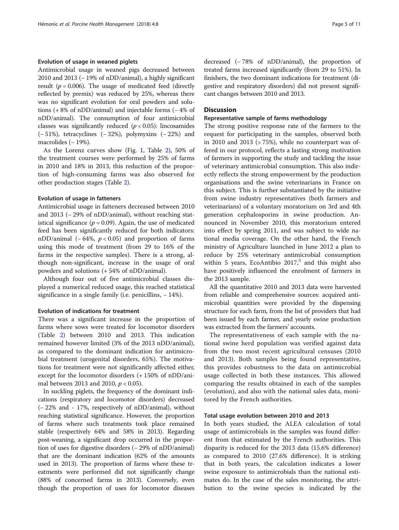# Evolution of usage in weaned piglets

Antimicrobial usage in weaned pigs decreased between 2010 and 2013 (− 19% of nDD/animal), a highly significant result ( $p = 0.006$ ). The usage of medicated feed (directly reflected by premix) was reduced by 25%, whereas there was no significant evolution for oral powders and solutions (+ 8% of nDD/animal) and injectable forms (− 4% of nDD/animal). The consumption of four antimicrobial classes was significantly reduced  $(p < 0.05)$ : lincosamides (− 51%), tetracyclines (− 32%), polymyxins (− 22%) and macrolides (− 19%).

As the Lorenz curves show (Fig. [1,](#page-6-0) Table [2\)](#page-5-0), 50% of the treatment courses were performed by 25% of farms in 2010 and 18% in 2013, this reduction of the proportion of high-consuming farms was also observed for other production stages (Table [2\)](#page-5-0).

### Evolution of usage in fatteners

Antimicrobial usage in fatteners decreased between 2010 and 2013 (− 29% of nDD/animal), without reaching statistical significance ( $p = 0.09$ ). Again, the use of medicated feed has been significantly reduced for both indicators: nDD/animal  $(-64\%, p < 0.05)$  and proportion of farms using this mode of treatment (from 29 to 16% of the farms in the respective samples). There is a strong, although non-significant, increase in the usage of oral powders and solutions (+ 54% of nDD/animal).

Although four out of five antimicrobial classes displayed a numerical reduced usage, this reached statistical significance in a single family (i.e. penicillins, − 14%).

## Evolution of indications for treatment

There was a significant increase in the proportion of farms where sows were treated for locomotor disorders (Table [2](#page-5-0)) between 2010 and 2013. This indication remained however limited (3% of the 2013 nDD/animal), as compared to the dominant indication for antimicrobial treatment (urogenital disorders, 65%). The motivations for treatment were not significantly affected either, except for the locomotor disorders (+ 150% of nDD/animal between 2013 and 2010,  $p < 0.05$ ).

In suckling piglets, the frequency of the dominant indications (respiratory and locomotor disorders) decreased (− 22% and - 17%, respectively of nDD/animal), without reaching statistical significance. However, the proportion of farms where such treatments took place remained stable (respectively 64% and 58% in 2013). Regarding post-weaning, a significant drop occurred in the proportion of uses for digestive disorders (− 29% of nDD/animal) that are the dominant indication (62% of the amounts used in 2013). The proportion of farms where these treatments were performed did not significantly change (88% of concerned farms in 2013). Conversely, even though the proportion of uses for locomotor diseases decreased (− 78% of nDD/animal), the proportion of treated farms increased significantly (from 29 to 51%). In finishers, the two dominant indications for treatment (digestive and respiratory disorders) did not present significant changes between 2010 and 2013.

# **Discussion**

## Representative sample of farms methodology

The strong positive response rate of the farmers to the request for participating in the samples, observed both in 2010 and 2013 (> 75%), while no counterpart was offered in our protocol, reflects a lasting strong motivation of farmers in supporting the study and tackling the issue of veterinary antimicrobial consumption. This also indirectly reflects the strong empowerment by the production organisations and the swine veterinarians in France on this subject. This is further substantiated by the initiative from swine industry representatives (both farmers and veterinarians) of a voluntary moratorium on 3rd and 4th generation cephalosporins in swine production. Announced in November 2010, this moratorium entered into effect by spring 2011, and was subject to wide national media coverage. On the other hand, the French ministry of Agriculture launched in June 2012 a plan to reduce by 25% veterinary antimicrobial consumption within 5 years, EcoAntibio  $2017$ <sup>5</sup> and this might also have positively influenced the enrolment of farmers in the 2013 sample.

All the quantitative 2010 and 2013 data were harvested from reliable and comprehensive sources: acquired antimicrobial quantities were provided by the dispensing structure for each farm, from the list of providers that had been issued by each farmer, and yearly swine production was extracted from the farmers' accounts.

The representativeness of each sample with the national swine herd population was verified against data from the two most recent agricultural censuses (2010 and 2013). Both samples being found representative, this provides robustness to the data on antimicrobial usage collected in both these instances. This allowed comparing the results obtained in each of the samples (evolution), and also with the national sales data, monitored by the French authorities.

## Total usage evolution between 2010 and 2013

In both years studied, the ALEA calculation of total usage of antimicrobials in the samples was found different from that estimated by the French authorities. This disparity is reduced for the 2013 data (15.6% difference) as compared to 2010 (27.6% difference). It is striking that in both years, the calculation indicates a lower swine exposure to antimicrobials than the national estimates do. In the case of the sales monitoring, the attribution to the swine species is indicated by the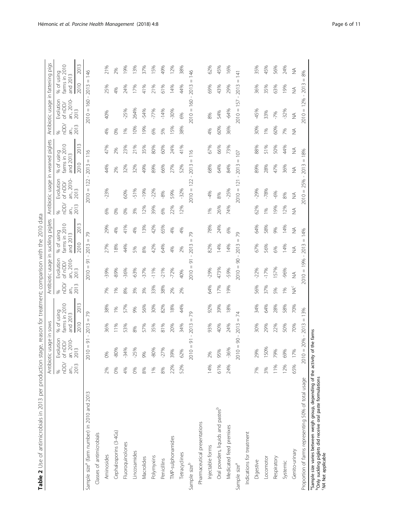| l<br>١                   |  |
|--------------------------|--|
| ׇ֖֘֝֬֕                   |  |
|                          |  |
|                          |  |
| Į                        |  |
|                          |  |
|                          |  |
|                          |  |
|                          |  |
|                          |  |
| ١                        |  |
| ֚֓                       |  |
| i                        |  |
|                          |  |
| ļ                        |  |
| l                        |  |
| i<br>İ                   |  |
|                          |  |
| Ï                        |  |
| $\overline{\phantom{a}}$ |  |
| i                        |  |
| į                        |  |
|                          |  |
| i                        |  |
|                          |  |
| ł                        |  |
|                          |  |
| i                        |  |
|                          |  |
| ì<br>ĵ                   |  |
|                          |  |
|                          |  |
| I                        |  |
|                          |  |
|                          |  |
|                          |  |
| ١                        |  |
|                          |  |
| J                        |  |
| į                        |  |
| $\mathfrak{c}$           |  |
| ï                        |  |
| j                        |  |
| $\ddot{\phantom{a}}$     |  |
|                          |  |
|                          |  |
| I                        |  |
| I<br>i<br>I              |  |
|                          |  |
| i                        |  |
|                          |  |
| l                        |  |
| $\overline{ }$           |  |
|                          |  |
| ١<br>١                   |  |
| I                        |  |
| r<br>ı                   |  |
| able                     |  |
|                          |  |
| l                        |  |
|                          |  |

<span id="page-5-0"></span>

|                                                                                                                                                                                |                            | Antibiotic usage in sows          |                                         |          |                                | Antibiotic usage in suckling piglets                               |                                         |               |                       | Antibiotic usage in weaned piglets |                                         |                |                      | Antibiotic usage in fattening pigs |                                         |                  |
|--------------------------------------------------------------------------------------------------------------------------------------------------------------------------------|----------------------------|-----------------------------------|-----------------------------------------|----------|--------------------------------|--------------------------------------------------------------------|-----------------------------------------|---------------|-----------------------|------------------------------------|-----------------------------------------|----------------|----------------------|------------------------------------|-----------------------------------------|------------------|
|                                                                                                                                                                                | nDD/<br>an.,<br>2013<br>S, | Evolution<br>an. 2010-<br>of nDD/ | % of using<br>farms in 2010<br>and 2013 |          | $\overline{5}$<br>ān.,<br>$\%$ | an., 2010-<br>Evolution<br>of nDD/                                 | % of using<br>farms in 2010<br>and 2013 |               | nDD/<br>ān.,<br>$\gg$ | an., 2010-<br>Evolution<br>of nDD/ | % of using<br>farms in 2010<br>and 2013 |                | nDD/<br>ān.,<br>$\%$ | an., 2010-<br>Evolution<br>of nDD/ | % of using<br>farms in 2010<br>and 2013 |                  |
|                                                                                                                                                                                |                            | 2013                              | 2010                                    | m<br>201 | 2013                           | 2013                                                               | 2010                                    | $\sim$<br>201 | 2013                  | 2013                               | 2010                                    | $\sim$<br>201  | 2013                 | 2013                               | 2010                                    | $\sim$<br>201    |
| Sample size <sup>®</sup> (farm number) in 2010 and 2013                                                                                                                        |                            | 5<br>$\mid \mid$<br>2010          | Ш<br>$\sim$<br>201<br>$\mathbf{I}$      | 56       |                                | 5<br>$\mathbb{I}$<br>2010                                          | $\mid \mid$<br>2013<br>$\mathbf{I}$     | 29            |                       | 122<br>$\lvert \rvert$<br>2010     | $\mid \mid$<br>2013                     | $\circ$<br>Ξ   |                      | 160<br>$\lvert \rvert$<br>2010     | $\mid \mid$<br>2013                     | $\frac{46}{5}$   |
| Classes of antimicrobials                                                                                                                                                      |                            |                                   |                                         |          |                                |                                                                    |                                         |               |                       |                                    |                                         |                |                      |                                    |                                         |                  |
| Aminosides                                                                                                                                                                     | 2%                         | 0%                                | 36%                                     | 38%      | 7%                             | -39%                                                               | 27%                                     | 29%           | 6%                    | $-23%$                             | 44%                                     | 47%            | 4%                   | 40%                                | 25%                                     | 21%              |
| Cephalosporins (3-4Gs)                                                                                                                                                         | 0%                         | $-80%$                            | 11%                                     | 1%       | 1%                             | $-89%$                                                             | 18%                                     | 4%            | 0%                    |                                    | 2%                                      | 2%             | 0%                   |                                    | 4%                                      | 2%               |
| Fluoroquinolones                                                                                                                                                               | 4%                         | $-34%$                            | 53%                                     | 57%      | 8%                             | $-36%$                                                             | 44%                                     | 41%           | 0%                    | 60%                                | 32%                                     | 23%            | 1%                   | $-25%$                             | 24%                                     | 19%              |
| Lincosamides                                                                                                                                                                   | 0%                         | $-25%$                            | 8%                                      | 9%       | 3%                             | $-63%$                                                             | 5%                                      | 4%            | 3%                    | $-51%$                             | 32%                                     | 21%            | 10%                  | 264%                               | 17%                                     | 13%              |
| Macrolides                                                                                                                                                                     | 8%                         | 9%                                | 57%                                     | 56%      | 3%                             | $-37%$                                                             | 8%                                      | 13%           | 12%                   | $-19%$                             | 49%                                     | 35%            | 19%                  | $-54%$                             | 41%                                     | 37%              |
| Polymyxins                                                                                                                                                                     | 1%                         | $-80%$                            | 35%                                     | 30%      | 33%                            | $-11%$                                                             | 42%                                     | 42%           | 39%                   | $-22%$                             | 89%                                     | 80%            | 6%                   | $-77%$                             | 21%                                     | 15%              |
| Penicillins                                                                                                                                                                    | 8%                         | $-27%$                            | 81%                                     | 82%      | 38%                            | $-21%$                                                             | 64%                                     | 65%           | 6%                    | $-8%$                              | 66%                                     | 60%            | 5%                   | $-14%$                             | 61%                                     | 49%              |
| TMP-sulphonamides                                                                                                                                                              | 22%                        | 39%                               | 20%                                     | 18%      | 2%                             | $-72%$                                                             | 4%                                      | 4%            | 22%                   | 59%                                | 27%                                     | 24%            | 15%                  | $-30%$                             | 14%                                     | 12%              |
| Tetracyclines                                                                                                                                                                  | 52%                        | 62%                               | 34%                                     | 44%      | 2%                             | 40%                                                                | 2%                                      | 4%            | 12%                   | $-32%$                             | 52%                                     | 41%            | 38%                  | 6%                                 | 44%                                     | 38%              |
| Sample size <sup>b</sup>                                                                                                                                                       |                            | 5<br>$\mid \mid$<br>2010          | $\lvert \rvert$<br>2013                 | 29       |                                | 5<br>$\label{eq:1} \prod_{i=1}^n \mathbb{E}[\mathbf{1}_i]$<br>2010 | $\lvert \rvert$<br>2013<br>$\mathbf{I}$ | 79            |                       | $2010 = 122$                       | $\lvert \rvert$<br>2013<br>$\mathbf{1}$ | $\frac{6}{11}$ |                      | 160<br>$2010 =$                    | $\lvert \rvert$<br>2013                 | 146              |
| Pharmaceutical presentations                                                                                                                                                   |                            |                                   |                                         |          |                                |                                                                    |                                         |               |                       |                                    |                                         |                |                      |                                    |                                         |                  |
| Injectable forms                                                                                                                                                               | 14%                        | 2%                                | 93%                                     | 92%      | 64%                            | $-29%$                                                             | 82%                                     | 78%           | 10 <sub>6</sub>       | $-4%$                              | 68%                                     | 67%            | 4%                   | 8%                                 | 69%                                     | 62%              |
| Oral powders, liquids and pastesb                                                                                                                                              | 61%                        | 95%                               | 40%                                     | 39%      | 17%                            | 473%                                                               | 14%                                     | 24%           | 26%                   | 8%                                 | 64%                                     | 66%            | 60%                  | 54%                                | 43%                                     | 45%              |
| Medicated feed premixes                                                                                                                                                        | 24%                        | $-36%$                            | 24%                                     | 18%      | 19%                            | $-59%$                                                             | 14%                                     | 6%            | 74%                   | $-25%$                             | 84%                                     | 73%            | 36%                  | $-64%$                             | 29%                                     | 16%              |
| Sample size <sup>a</sup>                                                                                                                                                       |                            | 90<br>Ш<br>2010                   | $\, \parallel$<br>2013                  | 74       |                                | 8<br>$\mid \mid$<br>2010                                           | $\mathbb{I}$<br>2013                    | 79            |                       | 121<br>$2010 =$                    | $\, \parallel$<br>2013<br>$\mathbf{I}$  | 107            |                      | 157<br>$2010 =$                    | $\, \parallel$<br>2013                  | $\overline{141}$ |
| Indications for treatment                                                                                                                                                      |                            |                                   |                                         |          |                                |                                                                    |                                         |               |                       |                                    |                                         |                |                      |                                    |                                         |                  |
| Digestive                                                                                                                                                                      | 7%                         | 29%                               | 30%                                     | 34%      | 56%                            | $-22%$                                                             | 67%                                     | 64%           | 62%                   | $-29%$                             | 89%                                     | 88%            | 30%                  | $-45%$                             | 36%                                     | 35%              |
| Locomotor                                                                                                                                                                      | 3%                         | 150%                              | 29%                                     | 64%      | 37%                            | $-17%$                                                             | 56%                                     | 58%           | 1%                    | $-78%$                             | 28%                                     | 51%            | 1%                   | 33%                                | 35%                                     | 45%              |
| Respiratory                                                                                                                                                                    | 11%                        | 79%                               | 22%                                     | 28%      | 5%                             | 157%                                                               | 6%                                      | 9%            | 19%                   | $-6%$                              | 47%                                     | 50%            | 60%                  | $-7%$                              | 63%                                     | 56%              |
| Systemic                                                                                                                                                                       | 12%                        | 69%                               | 50%                                     | 58%      | 10 <sub>0</sub>                | $-96%$                                                             | 14%                                     | 14%           | 12%                   | 8%                                 | 36%                                     | 44%            | 7%                   | $-32%$                             | 19%                                     | 24%              |
| Genito-urinary                                                                                                                                                                 | 65%                        | 17%                               | 70%                                     | 70%      | $\sum_{i=1}^{n}$               | $\lessapprox$                                                      | $\lessapprox$                           | $\lessgtr$    | $\lessapprox$         | $\stackrel{\triangle}{\geq}$       | $\lessapprox$                           | $\lessapprox$  | $\frac{1}{2}$        | $\lessgtr$                         | $\lessgtr$                              | $\lessgtr$       |
| Proportion of farms representing 50% of total usage                                                                                                                            |                            | $2010 = 20% - 2013$               | $\ensuremath{\mathsf{II}}$              | 3%       |                                | 9%<br>$\overline{\phantom{0}}$<br>$2010 =$                         | Ш<br>2013                               | 14%           |                       | 25%<br>$2010 =$                    | Ш<br>2013                               | 18%            |                      | 12%<br>$2010 =$                    | Ш<br>$-2013$                            | 8%               |
| <sup>9</sup> Sample size varies between weigh group, depending of the activity of the farms<br>Ponly suckling piglets did receive oral paste formulations<br>WA Not applicable |                            |                                   |                                         |          |                                |                                                                    |                                         |               |                       |                                    |                                         |                |                      |                                    |                                         |                  |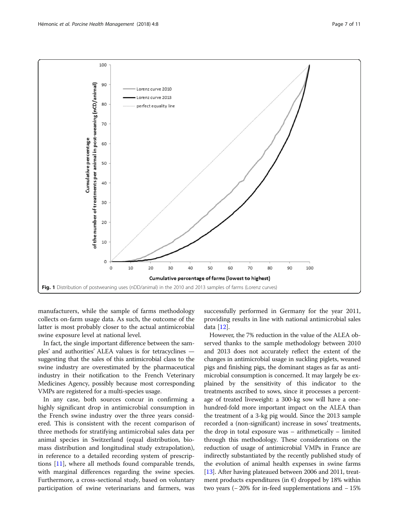<span id="page-6-0"></span>

manufacturers, while the sample of farms methodology collects on-farm usage data. As such, the outcome of the latter is most probably closer to the actual antimicrobial swine exposure level at national level.

In fact, the single important difference between the samples' and authorities' ALEA values is for tetracyclines suggesting that the sales of this antimicrobial class to the swine industry are overestimated by the pharmaceutical industry in their notification to the French Veterinary Medicines Agency, possibly because most corresponding VMPs are registered for a multi-species usage.

In any case, both sources concur in confirming a highly significant drop in antimicrobial consumption in the French swine industry over the three years considered. This is consistent with the recent comparison of three methods for stratifying antimicrobial sales data per animal species in Switzerland (equal distribution, biomass distribution and longitudinal study extrapolation), in reference to a detailed recording system of prescriptions [[11\]](#page-9-0), where all methods found comparable trends, with marginal differences regarding the swine species. Furthermore, a cross-sectional study, based on voluntary participation of swine veterinarians and farmers, was successfully performed in Germany for the year 2011, providing results in line with national antimicrobial sales data [\[12\]](#page-9-0).

However, the 7% reduction in the value of the ALEA observed thanks to the sample methodology between 2010 and 2013 does not accurately reflect the extent of the changes in antimicrobial usage in suckling piglets, weaned pigs and finishing pigs, the dominant stages as far as antimicrobial consumption is concerned. It may largely be explained by the sensitivity of this indicator to the treatments ascribed to sows, since it processes a percentage of treated liveweight: a 300-kg sow will have a onehundred-fold more important impact on the ALEA than the treatment of a 3-kg pig would. Since the 2013 sample recorded a (non-significant) increase in sows' treatments, the drop in total exposure was – arithmetically – limited through this methodology. These considerations on the reduction of usage of antimicrobial VMPs in France are indirectly substantiated by the recently published study of the evolution of animal health expenses in swine farms [[13](#page-9-0)]. After having plateaued between 2006 and 2011, treatment products expenditures (in  $\epsilon$ ) dropped by 18% within two years (− 20% for in-feed supplementations and − 15%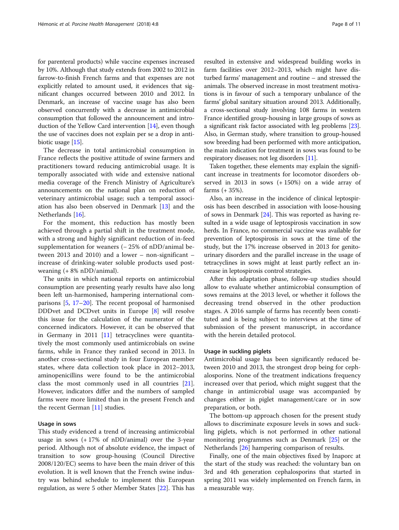for parenteral products) while vaccine expenses increased by 10%. Although that study extends from 2002 to 2012 in farrow-to-finish French farms and that expenses are not explicitly related to amount used, it evidences that significant changes occurred between 2010 and 2012. In Denmark, an increase of vaccine usage has also been observed concurrently with a decrease in antimicrobial consumption that followed the announcement and introduction of the Yellow Card intervention [\[14\]](#page-9-0), even though the use of vaccines does not explain per se a drop in anti-biotic usage [[15](#page-9-0)].

The decrease in total antimicrobial consumption in France reflects the positive attitude of swine farmers and practitioners toward reducing antimicrobial usage. It is temporally associated with wide and extensive national media coverage of the French Ministry of Agriculture's announcements on the national plan on reduction of veterinary antimicrobial usage; such a temporal association has also been observed in Denmark [\[13](#page-9-0)] and the Netherlands [[16](#page-10-0)].

For the moment, this reduction has mostly been achieved through a partial shift in the treatment mode, with a strong and highly significant reduction of in-feed supplementation for weaners (−25% of nDD/animal between 2013 and 2010) and a lower – non-significant – increase of drinking-water soluble products used postweaning (+ 8% nDD/animal).

The units in which national reports on antimicrobial consumption are presenting yearly results have also long been left un-harmonised, hampering international comparisons [[5](#page-9-0), [17](#page-10-0)–[20\]](#page-10-0). The recent proposal of harmonised DDDvet and DCDvet units in Europe [[8](#page-9-0)] will resolve this issue for the calculation of the numerator of the concerned indicators. However, it can be observed that in Germany in 2011 [\[11](#page-9-0)] tetracyclines were quantitatively the most commonly used antimicrobials on swine farms, while in France they ranked second in 2013. In another cross-sectional study in four European member states, where data collection took place in 2012–2013, aminopenicillins were found to be the antimicrobial class the most commonly used in all countries [\[21](#page-10-0)]. However, indicators differ and the numbers of sampled farms were more limited than in the present French and the recent German [\[11](#page-9-0)] studies.

#### Usage in sows

This study evidenced a trend of increasing antimicrobial usage in sows (+ 17% of nDD/animal) over the 3-year period. Although not of absolute evidence, the impact of transition to sow group-housing (Council Directive 2008/120/EC) seems to have been the main driver of this evolution. It is well known that the French swine industry was behind schedule to implement this European regulation, as were 5 other Member States [\[22](#page-10-0)]. This has

resulted in extensive and widespread building works in farm facilities over 2012–2013, which might have disturbed farms' management and routine – and stressed the animals. The observed increase in most treatment motivations is in favour of such a temporary unbalance of the farms' global sanitary situation around 2013. Additionally, a cross-sectional study involving 108 farms in western France identified group-housing in large groups of sows as a significant risk factor associated with leg problems [[23](#page-10-0)]. Also, in German study, where transition to group-housed sow breeding had been performed with more anticipation, the main indication for treatment in sows was found to be respiratory diseases; not leg disorders [\[11\]](#page-9-0).

Taken together, these elements may explain the significant increase in treatments for locomotor disorders observed in 2013 in sows (+ 150%) on a wide array of farms (+ 35%).

Also, an increase in the incidence of clinical leptospirosis has been described in association with loose-housing of sows in Denmark [[24](#page-10-0)]. This was reported as having resulted in a wide usage of leptospirosis vaccination in sow herds. In France, no commercial vaccine was available for prevention of leptospirosis in sows at the time of the study, but the 17% increase observed in 2013 for genitourinary disorders and the parallel increase in the usage of tetracyclines in sows might at least partly reflect an increase in leptospirosis control strategies.

After this adaptation phase, follow-up studies should allow to evaluate whether antimicrobial consumption of sows remains at the 2013 level, or whether it follows the decreasing trend observed in the other production stages. A 2016 sample of farms has recently been constituted and is being subject to interviews at the time of submission of the present manuscript, in accordance with the herein detailed protocol.

#### Usage in suckling piglets

Antimicrobial usage has been significantly reduced between 2010 and 2013, the strongest drop being for cephalosporins. None of the treatment indications frequency increased over that period, which might suggest that the change in antimicrobial usage was accompanied by changes either in piglet management/care or in sow preparation, or both.

The bottom-up approach chosen for the present study allows to discriminate exposure levels in sows and suckling piglets, which is not performed in other national monitoring programmes such as Denmark [\[25](#page-10-0)] or the Netherlands [[26](#page-10-0)] hampering comparison of results.

Finally, one of the main objectives fixed by Inaporc at the start of the study was reached: the voluntary ban on 3rd and 4th generation cephalosporins that started in spring 2011 was widely implemented on French farm, in a measurable way.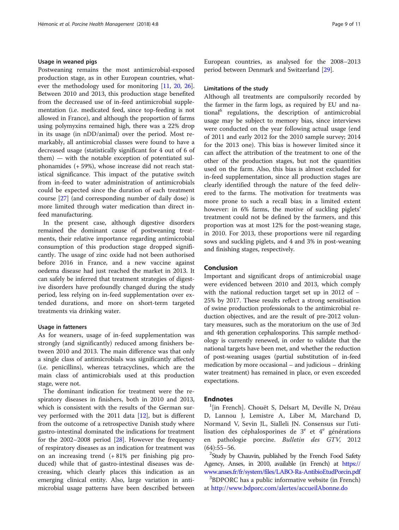# Usage in weaned pigs

Postweaning remains the most antimicrobial-exposed production stage, as in other European countries, what-ever the methodology used for monitoring [\[11](#page-9-0), [20](#page-10-0), [26](#page-10-0)]. Between 2010 and 2013, this production stage benefited from the decreased use of in-feed antimicrobial supplementation (i.e. medicated feed, since top-feeding is not allowed in France), and although the proportion of farms using polymyxins remained high, there was a 22% drop in its usage (in nDD/animal) over the period. Most remarkably, all antimicrobial classes were found to have a decreased usage (statistically significant for 4 out of 6 of them) — with the notable exception of potentiated sulphonamides (+ 59%), whose increase did not reach statistical significance. This impact of the putative switch from in-feed to water administration of antimicrobials could be expected since the duration of each treatment course [[27\]](#page-10-0) (and corresponding number of daily dose) is more limited through water medication than direct infeed manufacturing.

In the present case, although digestive disorders remained the dominant cause of postweaning treatments, their relative importance regarding antimicrobial consumption of this production stage dropped significantly. The usage of zinc oxide had not been authorised before 2016 in France, and a new vaccine against oedema disease had just reached the market in 2013. It can safely be inferred that treatment strategies of digestive disorders have profoundly changed during the study period, less relying on in-feed supplementation over extended durations, and more on short-term targeted treatments via drinking water.

#### Usage in fatteners

As for weaners, usage of in-feed supplementation was strongly (and significantly) reduced among finishers between 2010 and 2013. The main difference was that only a single class of antimicrobials was significantly affected (i.e. penicillins), whereas tetracyclines, which are the main class of antimicrobials used at this production stage, were not.

The dominant indication for treatment were the respiratory diseases in finishers, both in 2010 and 2013, which is consistent with the results of the German survey performed with the 2011 data [\[12](#page-9-0)], but is different from the outcome of a retrospective Danish study where gastro-intestinal dominated the indications for treatment for the  $2002-2008$  period  $[28]$  $[28]$ . However the frequency of respiratory diseases as an indication for treatment was on an increasing trend (+ 81% per finishing pig produced) while that of gastro-intestinal diseases was decreasing, which clearly places this indication as an emerging clinical entity. Also, large variation in antimicrobial usage patterns have been described between

European countries, as analysed for the 2008–2013 period between Denmark and Switzerland [\[29](#page-10-0)].

### Limitations of the study

Although all treatments are compulsorily recorded by the farmer in the farm logs, as required by EU and national<sup>6</sup> regulations, the description of antimicrobial usage may be subject to memory bias, since interviews were conducted on the year following actual usage (end of 2011 and early 2012 for the 2010 sample survey; 2014 for the 2013 one). This bias is however limited since it can affect the attribution of the treatment to one of the other of the production stages, but not the quantities used on the farm. Also, this bias is almost excluded for in-feed supplementation, since all production stages are clearly identified through the nature of the feed delivered to the farms. The motivation for treatments was more prone to such a recall bias; in a limited extent however: in 6% farms, the motive of suckling piglets' treatment could not be defined by the farmers, and this proportion was at most 12% for the post-weaning stage, in 2010. For 2013, these proportions were nil regarding sows and suckling piglets, and 4 and 3% in post-weaning and finishing stages, respectively.

### Conclusion

Important and significant drops of antimicrobial usage were evidenced between 2010 and 2013, which comply with the national reduction target set up in 2012 of − 25% by 2017. These results reflect a strong sensitisation of swine production professionals to the antimicrobial reduction objectives, and are the result of pre-2012 voluntary measures, such as the moratorium on the use of 3rd and 4th generation cephalosporins. This sample methodology is currently renewed, in order to validate that the national targets have been met, and whether the reduction of post-weaning usages (partial substitution of in-feed medication by more occasional – and judicious – drinking water treatment) has remained in place, or even exceeded expectations.

## **Endnotes**

 $\frac{1}{\pi}$ [in French]. Chouët S, Delsart M, Deville N, Dréau D, Lannou J, Lemistre A, Liber M, Marchand D, Normand V, Sevin JL, Sialleli JN. Consensus sur l'utilisation des céphalosporines de  $3^e$  et  $4^e$  générations en pathologie porcine. Bulletin des GTV, 2012  $(64):55-56.$ 

<sup>2</sup>Study by Chauvin, published by the French Food Safety Agency, Anses, in 2010, available (in French) at [https://](https://www.anses.fr/fr/system/files/LABO-Ra-AntibioEtudPorcin.pdf) [www.anses.fr/fr/system/files/LABO-Ra-AntibioEtudPorcin.pdf](https://www.anses.fr/fr/system/files/LABO-Ra-AntibioEtudPorcin.pdf) <sup>3</sup>

BDPORC has a public informative website (in French) at <http://www.bdporc.com/alertes/accueilAbonne.do>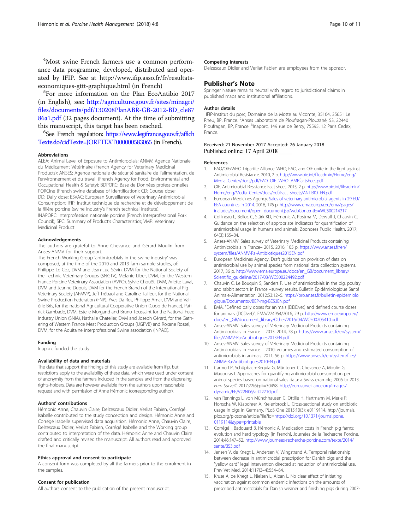<span id="page-9-0"></span>4 Most swine French farmers use a common performance data programme, developed, distributed and operated by IFIP. See at http://www.ifip.asso.fr/fr/resultatseconomiques-gttt-graphique.html (in French) <sup>5</sup>

<sup>5</sup>For more information on the Plan EcoAntibio 2017 (in English), see: [http://agriculture.gouv.fr/sites/minagri/](http://agriculture.gouv.fr/sites/minagri/files/documents/pdf/130208PlanABR-GB-2012-BD_cle8786a1.pdf) [files/documents/pdf/130208PlanABR-GB-2012-BD\\_cle87](http://agriculture.gouv.fr/sites/minagri/files/documents/pdf/130208PlanABR-GB-2012-BD_cle8786a1.pdf) [86a1.pdf](http://agriculture.gouv.fr/sites/minagri/files/documents/pdf/130208PlanABR-GB-2012-BD_cle8786a1.pdf) (32 pages document). At the time of submitting this manuscript, this target has been reached.

 ${}^{6}$ See French regulation: [https://www.legifrance.gouv.fr/affich](https://www.legifrance.gouv.fr/affichTexte.do?cidTexte=JORFTEXT000000583065) [Texte.do?cidTexte=JORFTEXT000000583065](https://www.legifrance.gouv.fr/affichTexte.do?cidTexte=JORFTEXT000000583065) (in French).

#### Abbreviations

ALEA: Animal Level of Exposure to Antimicrobials; ANMV: Agence Nationale du Médicament Vétérinaire (French Agency for Veterinary Medicinal Products); ANSES: Agence nationale de sécurité sanitaire de l'alimentation, de l'environnement et du travail (French Agency for Food, Environmental and Occupational Health & Safety); BDPORC: Base de Données professionnelles PORCine (French swine database of identification); CD: Course dose; DD: Daily dose; ESVAC: European Surveillance of Veterinary Antimicrobial Consumption; IFIP: Institut technique de recherche et de développement de la filière porcine (swine industry's French technical institute); INAPORC: Interprofession nationale porcine (French Interprofessional Pork Council); SPC: Summary of Product's Characteristics; VMP: Veterinary Medicinal Product

#### Acknowledgements

The authors are grateful to Anne Chevance and Gérard Moulin from Anses-ANMV for their support.

The French Working Group 'antimicrobials in the swine industry' was composed, at the time of the 2010 and 2013 farm sample studies, of: Philippe Le Coz, DVM and Jean-Luc Sévin, DVM for the National Society of the Technic Veterinary Groups (SNGTV), Mélanie Liber, DVM, for the Western France Porcine Veterinary Association (AVPO), Sylvie Chouët, DVM, Arlette Laval, DVM and Jeanne Dupuis, DVM for the French Branch of the International Pig Veterinary Society (AFMVP), Jeff Trébaol and Caroline Tailleur, for the National Swine Production Federation (FNP), Yves Da Ros, Philippe Amar, DVM and Valérie Bris, for the national Agricultural Cooperative Union (Coop de France), Patrick Gambade, DVM, Estelle Morgand and Bruno Toussaint for the National Feed Industry Union (SNIA), Nathalie Chatelier, DVM and Joseph Gérard, for the Gathering of Western France Meat Production Groups (UGPVB) and Roxane Rossel, DVM, for the Aquitaine interprofessional Swine association (INPAQ).

#### Funding

Inaporc funded the study.

### Availability of data and materials

The data that support the findings of this study are available from Ifip, but restrictions apply to the availability of these data, which were used under consent of anonymity from the farmers included in the samples and from the dispensing rights-holders. Data are however available from the authors upon reasonable request and with permission of Anne Hémonic (corresponding author).

#### Authors' contributions

Hémonic Anne, Chauvin Claire, Delzescaux Didier, Verliat Fabien, Corrégé Isabelle contributed to the study conception and design. Hémonic Anne and Corrégé Isabelle supervised data acquisition. Hémonic Anne, Chauvin Claire, Delzescaux Didier, Verliat Fabien, Corrégé Isabelle and the Working group contributed to interpretation of the data. Hémonic Anne and Chauvin Claire drafted and critically revised the manuscript. All authors read and approved the final manuscript.

#### Ethics approval and consent to participate

A consent form was completed by all the farmers prior to the enrolment in the samples.

#### Consent for publication

All authors consent to the publication of the present manuscript.

#### Competing interests

Delzescaux Didier and Verliat Fabien are employees from the sponsor.

## Publisher's Note

Springer Nature remains neutral with regard to jurisdictional claims in published maps and institutional affiliations.

#### Author details

<sup>1</sup>IFIP-Institut du porc, Domaine de la Motte au Vicomte, 35104, 35651 Le Rheu, BP, France. <sup>2</sup>Anses Laboratoire de Ploufragan-Plouzané, 53, 22440 Ploufragan, BP, France. <sup>3</sup>Inaporc, 149 rue de Bercy, 75595, 12 Paris Cedex, France.

#### Received: 21 November 2017 Accepted: 26 January 2018 Published online: 17 April 2018

#### References

- 1. FAO/OIE/WHO Tripartite Alliance. WHO, FAO, and OIE unite in the fight against Antimicrobial Resistance. 2010, 2 p. [http://www.oie.int/fileadmin/Home/eng/](http://www.oie.int/fileadmin/Home/eng/Media_Center/docs/pdf/FAO_OIE_WHO_AMRfactsheet.pdf) [Media\\_Center/docs/pdf/FAO\\_OIE\\_WHO\\_AMRfactsheet.pdf](http://www.oie.int/fileadmin/Home/eng/Media_Center/docs/pdf/FAO_OIE_WHO_AMRfactsheet.pdf)
- 2. OIE. Antimicrobial Resistance Fact sheet. 2015, 2 p. [http://www.oie.int/fileadmin/](http://www.oie.int/fileadmin/Home/eng/Media_Center/docs/pdf/Fact_sheets/ANTIBIO_EN.pdf) [Home/eng/Media\\_Center/docs/pdf/Fact\\_sheets/ANTIBIO\\_EN.pdf](http://www.oie.int/fileadmin/Home/eng/Media_Center/docs/pdf/Fact_sheets/ANTIBIO_EN.pdf)
- 3. European Medicines Agency. [Sales of veterinary antimicrobial agents in 29 EU/](http://www.ema.europa.eu/ema/pages/includes/document/open_document.jsp?webContentId=WC500175671) [EEA countries in 2014.](http://www.ema.europa.eu/ema/pages/includes/document/open_document.jsp?webContentId=WC500175671) 2016, 176 p. [http://www.ema.europa.eu/ema/pages/](http://www.ema.europa.eu/ema/pages/includes/document/open_document.jsp?webContentId=WC500214217) [includes/document/open\\_document.jsp?webContentId=WC500214217](http://www.ema.europa.eu/ema/pages/includes/document/open_document.jsp?webContentId=WC500214217)
- 4. Collineau L, Belloc C, Stärk KD, Hémonic A, Postma M, Dewulf J, Chauvin C. Guidance on the selection of appropriate indicators for quantification of antimicrobial usage in humans and animals. Zoonoses Public Health. 2017; 64(3):165–84.
- 5. Anses-ANMV. Sales survey of Veterinary Medicinal Products containing Antimicrobials in France– 2015. 2016, 105 p. [https://www.anses.fr/en/](https://www.anses.fr/en/system/files/ANMV-Ra-Antibiotiques2015EN.pdf) [system/files/ANMV-Ra-Antibiotiques2015EN.pdf](https://www.anses.fr/en/system/files/ANMV-Ra-Antibiotiques2015EN.pdf)
- 6. European Medicines Agency. Draft guidance on provision of data on antimicrobial use by animal species from national data collection systems. 2017, 36 p. [http://www.ema.europa.eu/docs/en\\_GB/document\\_library/](http://www.ema.europa.eu/docs/en_GB/document_library/Scientific_guideline/2017/03/WC500224492.pdf) [Scientific\\_guideline/2017/03/WC500224492.pdf](http://www.ema.europa.eu/docs/en_GB/document_library/Scientific_guideline/2017/03/WC500224492.pdf)
- 7. Chauvin C, Le Bouquin S, Sanders P. Use of antimicrobials in the pig, poultry and rabbit sectors in France –survey results. Bulletin Épidémiologique Santé Animale-Alimentation. 2012;53:12–5. [https://pro.anses.fr/bulletin-epidemiolo](https://pro.anses.fr/bulletin-epidemiologique/Documents//BEP-mg-BE53EN.pdf) [gique/Documents//BEP-mg-BE53EN.pdf](https://pro.anses.fr/bulletin-epidemiologique/Documents//BEP-mg-BE53EN.pdf)
- EMA. "Defined daily doses for animals (DDDvet) and defined course doses for animals (DCDvet)". EMA/224954/2016, 29 p. [http://www.ema.europa.eu/](http://www.ema.europa.eu/docs/en_GB/document_library/Other/2016/04/WC500205410.pdf) [docs/en\\_GB/document\\_library/Other/2016/04/WC500205410.pdf](http://www.ema.europa.eu/docs/en_GB/document_library/Other/2016/04/WC500205410.pdf)
- 9. Anses-ANMV. Sales survey of Veterinary Medicinal Products containing Antimicrobials in France – 2013. 2014, 78 p. [https://www.anses.fr/en/system/](https://www.anses.fr/en/system/files/ANMV-Ra-Antibiotiques2013EN.pdf) [files/ANMV-Ra-Antibiotiques2013EN.pdf](https://www.anses.fr/en/system/files/ANMV-Ra-Antibiotiques2013EN.pdf)
- 10. Anses-ANMV. Sales survey of Veterinary Medicinal Products containing Antimicrobials in France – 2010; volumes and estimated consumption of antimicrobials in animals. 2011, 56 p. [https://www.anses.fr/en/system/files/](https://www.anses.fr/en/system/files/ANMV-Ra-Antibiotiques2010EN.pdf) [ANMV-Ra-Antibiotiques2010EN.pdf](https://www.anses.fr/en/system/files/ANMV-Ra-Antibiotiques2010EN.pdf)
- 11. Carmo LP, Schüpbach-Regula G, Müntener C, Chevance A, Moulin G, Magouras I. Approaches for quantifying antimicrobial consumption per animal species based on national sales data: a Swiss example, 2006 to 2013. Euro Surveill. 2017;22(6):pii=30458. [http://eurosurveillance.org/images/](http://eurosurveillance.org/images/dynamic/EE/V22N06/art22710.pdf) [dynamic/EE/V22N06/art22710.pdf](http://eurosurveillance.org/images/dynamic/EE/V22N06/art22710.pdf)
- 12. van Rennings L, von Münchhausen C, Ottilie H, Hartmann M, Merle R, Honscha W, Käsbohrer A, Kreienbrock L. Cross-sectional study on antibiotic usage in pigs in Germany. PLoS One 2015;10(3): e0119114. http://journals. plos.org/plosone/article/file?id=[https://doi.org/10.1371/journal.pone.](http://dx.doi.org/10.1371/journal.pone.0119114&type=printable) [0119114&type=printable](http://dx.doi.org/10.1371/journal.pone.0119114&type=printable)
- 13. Corrégé I, Badouard B, Hémonic A. Medication costs in French pig farms: evolution and herd typology [in French]. Journées de la Recherche Porcine. 2014;46:147–52. [http://www.journees-recherche-porcine.com/texte/2014/](http://www.journees-recherche-porcine.com/texte/2014/sante/3S3.pdf) [sante/3S3.pdf](http://www.journees-recherche-porcine.com/texte/2014/sante/3S3.pdf)
- 14. Jensen V, de Knegt L, Andersen V, Wingstrand A. Temporal relationship between decrease in antimicrobial prescription for Danish pigs and the "yellow card" legal intervention directed at reduction of antimicrobial use. Prev Vet Med. 2014;117(3–4):554–64.
- 15. Kruse A, de Knegt L, Nielsen L, Alban L. No clear effect of initiating vaccination against common endemic infections on the amounts of prescribed antimicrobials for Danish weaner and finishing pigs during 2007-